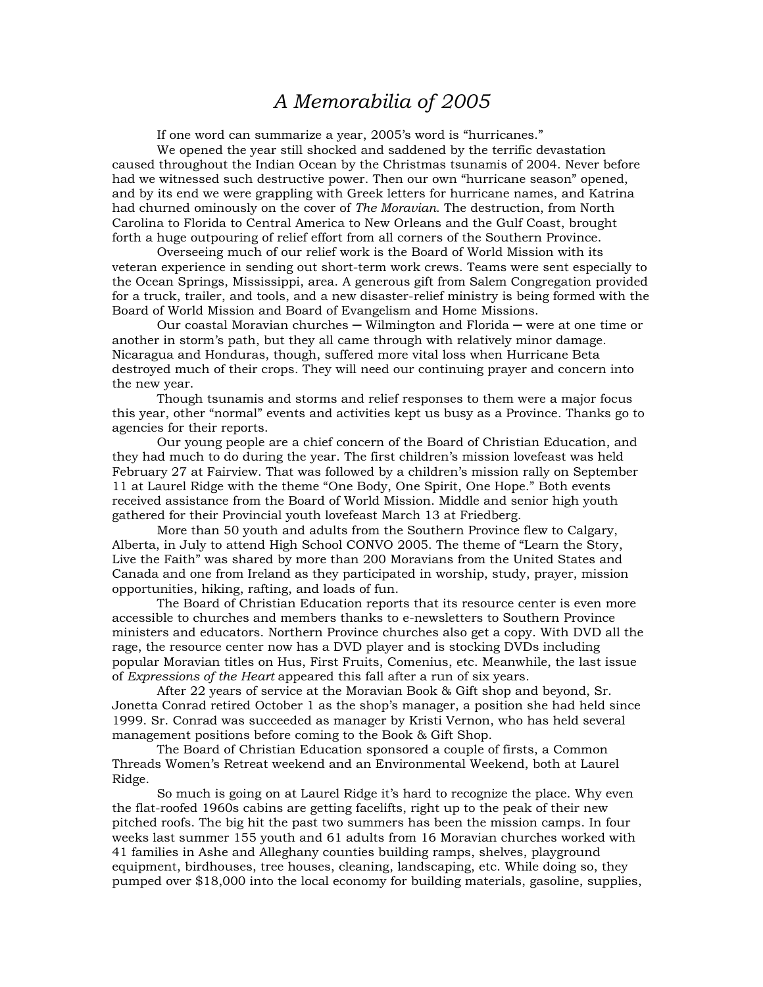## *A Memorabilia of 2005*

If one word can summarize a year, 2005's word is "hurricanes."

We opened the year still shocked and saddened by the terrific devastation caused throughout the Indian Ocean by the Christmas tsunamis of 2004. Never before had we witnessed such destructive power. Then our own "hurricane season" opened, and by its end we were grappling with Greek letters for hurricane names, and Katrina had churned ominously on the cover of *The Moravian*. The destruction, from North Carolina to Florida to Central America to New Orleans and the Gulf Coast, brought forth a huge outpouring of relief effort from all corners of the Southern Province.

 Overseeing much of our relief work is the Board of World Mission with its veteran experience in sending out short-term work crews. Teams were sent especially to the Ocean Springs, Mississippi, area. A generous gift from Salem Congregation provided for a truck, trailer, and tools, and a new disaster-relief ministry is being formed with the Board of World Mission and Board of Evangelism and Home Missions.

 Our coastal Moravian churches ─ Wilmington and Florida ─ were at one time or another in storm's path, but they all came through with relatively minor damage. Nicaragua and Honduras, though, suffered more vital loss when Hurricane Beta destroyed much of their crops. They will need our continuing prayer and concern into the new year.

 Though tsunamis and storms and relief responses to them were a major focus this year, other "normal" events and activities kept us busy as a Province. Thanks go to agencies for their reports.

 Our young people are a chief concern of the Board of Christian Education, and they had much to do during the year. The first children's mission lovefeast was held February 27 at Fairview. That was followed by a children's mission rally on September 11 at Laurel Ridge with the theme "One Body, One Spirit, One Hope." Both events received assistance from the Board of World Mission. Middle and senior high youth gathered for their Provincial youth lovefeast March 13 at Friedberg.

More than 50 youth and adults from the Southern Province flew to Calgary, Alberta, in July to attend High School CONVO 2005. The theme of "Learn the Story, Live the Faith" was shared by more than 200 Moravians from the United States and Canada and one from Ireland as they participated in worship, study, prayer, mission opportunities, hiking, rafting, and loads of fun.

The Board of Christian Education reports that its resource center is even more accessible to churches and members thanks to e-newsletters to Southern Province ministers and educators. Northern Province churches also get a copy. With DVD all the rage, the resource center now has a DVD player and is stocking DVDs including popular Moravian titles on Hus, First Fruits, Comenius, etc. Meanwhile, the last issue of *Expressions of the Heart* appeared this fall after a run of six years.

After 22 years of service at the Moravian Book & Gift shop and beyond, Sr. Jonetta Conrad retired October 1 as the shop's manager, a position she had held since 1999. Sr. Conrad was succeeded as manager by Kristi Vernon, who has held several management positions before coming to the Book & Gift Shop.

The Board of Christian Education sponsored a couple of firsts, a Common Threads Women's Retreat weekend and an Environmental Weekend, both at Laurel Ridge.

So much is going on at Laurel Ridge it's hard to recognize the place. Why even the flat-roofed 1960s cabins are getting facelifts, right up to the peak of their new pitched roofs. The big hit the past two summers has been the mission camps. In four weeks last summer 155 youth and 61 adults from 16 Moravian churches worked with 41 families in Ashe and Alleghany counties building ramps, shelves, playground equipment, birdhouses, tree houses, cleaning, landscaping, etc. While doing so, they pumped over \$18,000 into the local economy for building materials, gasoline, supplies,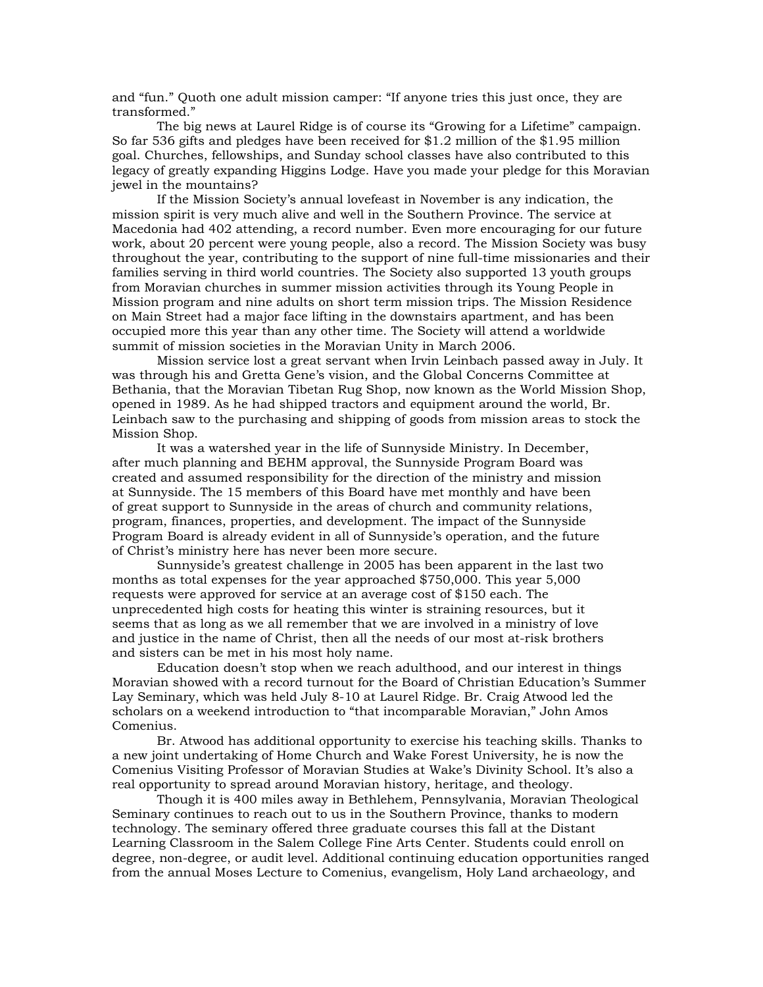and "fun." Quoth one adult mission camper: "If anyone tries this just once, they are transformed."

The big news at Laurel Ridge is of course its "Growing for a Lifetime" campaign. So far 536 gifts and pledges have been received for \$1.2 million of the \$1.95 million goal. Churches, fellowships, and Sunday school classes have also contributed to this legacy of greatly expanding Higgins Lodge. Have you made your pledge for this Moravian jewel in the mountains?

 If the Mission Society's annual lovefeast in November is any indication, the mission spirit is very much alive and well in the Southern Province. The service at Macedonia had 402 attending, a record number. Even more encouraging for our future work, about 20 percent were young people, also a record. The Mission Society was busy throughout the year, contributing to the support of nine full-time missionaries and their families serving in third world countries. The Society also supported 13 youth groups from Moravian churches in summer mission activities through its Young People in Mission program and nine adults on short term mission trips. The Mission Residence on Main Street had a major face lifting in the downstairs apartment, and has been occupied more this year than any other time. The Society will attend a worldwide summit of mission societies in the Moravian Unity in March 2006.

 Mission service lost a great servant when Irvin Leinbach passed away in July. It was through his and Gretta Gene's vision, and the Global Concerns Committee at Bethania, that the Moravian Tibetan Rug Shop, now known as the World Mission Shop, opened in 1989. As he had shipped tractors and equipment around the world, Br. Leinbach saw to the purchasing and shipping of goods from mission areas to stock the Mission Shop.

It was a watershed year in the life of Sunnyside Ministry. In December, after much planning and BEHM approval, the Sunnyside Program Board was created and assumed responsibility for the direction of the ministry and mission at Sunnyside. The 15 members of this Board have met monthly and have been of great support to Sunnyside in the areas of church and community relations, program, finances, properties, and development. The impact of the Sunnyside Program Board is already evident in all of Sunnyside's operation, and the future of Christ's ministry here has never been more secure.

Sunnyside's greatest challenge in 2005 has been apparent in the last two months as total expenses for the year approached \$750,000. This year 5,000 requests were approved for service at an average cost of \$150 each. The unprecedented high costs for heating this winter is straining resources, but it seems that as long as we all remember that we are involved in a ministry of love and justice in the name of Christ, then all the needs of our most at-risk brothers and sisters can be met in his most holy name.

Education doesn't stop when we reach adulthood, and our interest in things Moravian showed with a record turnout for the Board of Christian Education's Summer Lay Seminary, which was held July 8-10 at Laurel Ridge. Br. Craig Atwood led the scholars on a weekend introduction to "that incomparable Moravian," John Amos Comenius.

 Br. Atwood has additional opportunity to exercise his teaching skills. Thanks to a new joint undertaking of Home Church and Wake Forest University, he is now the Comenius Visiting Professor of Moravian Studies at Wake's Divinity School. It's also a real opportunity to spread around Moravian history, heritage, and theology.

Though it is 400 miles away in Bethlehem, Pennsylvania, Moravian Theological Seminary continues to reach out to us in the Southern Province, thanks to modern technology. The seminary offered three graduate courses this fall at the Distant Learning Classroom in the Salem College Fine Arts Center. Students could enroll on degree, non-degree, or audit level. Additional continuing education opportunities ranged from the annual Moses Lecture to Comenius, evangelism, Holy Land archaeology, and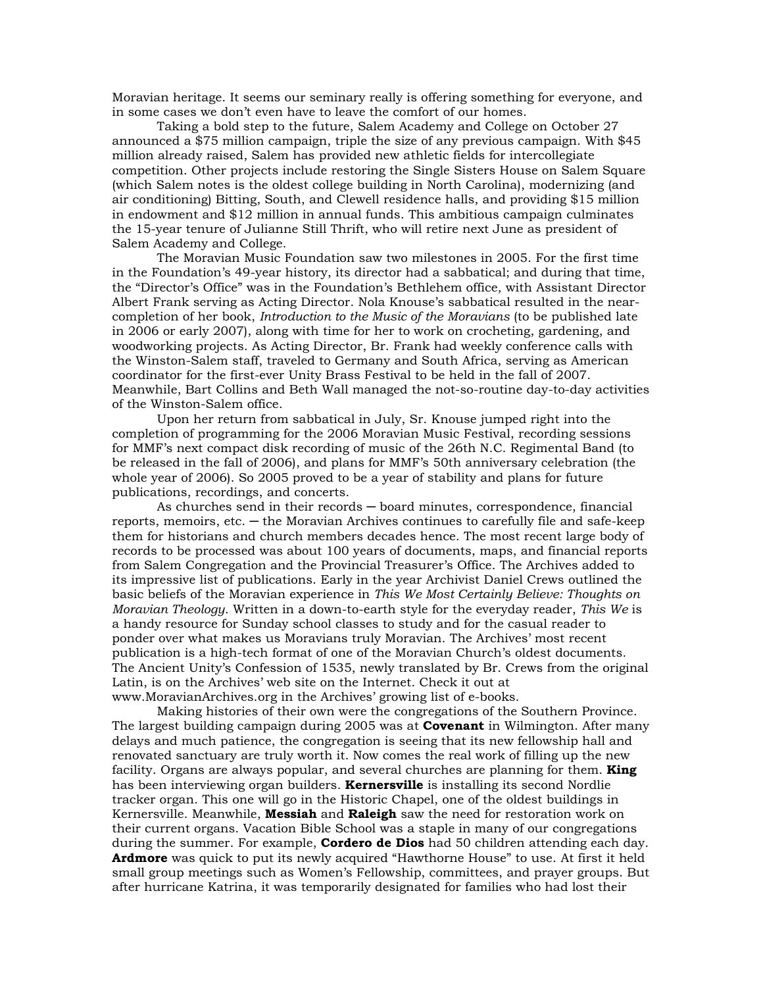Moravian heritage. It seems our seminary really is offering something for everyone, and in some cases we don't even have to leave the comfort of our homes.

Taking a bold step to the future, Salem Academy and College on October 27 announced a \$75 million campaign, triple the size of any previous campaign. With \$45 million already raised, Salem has provided new athletic fields for intercollegiate competition. Other projects include restoring the Single Sisters House on Salem Square (which Salem notes is the oldest college building in North Carolina), modernizing (and air conditioning) Bitting, South, and Clewell residence halls, and providing \$15 million in endowment and \$12 million in annual funds. This ambitious campaign culminates the 15-year tenure of Julianne Still Thrift, who will retire next June as president of Salem Academy and College.

The Moravian Music Foundation saw two milestones in 2005. For the first time in the Foundation's 49-year history, its director had a sabbatical; and during that time, the "Director's Office" was in the Foundation's Bethlehem office, with Assistant Director Albert Frank serving as Acting Director. Nola Knouse's sabbatical resulted in the nearcompletion of her book, *Introduction to the Music of the Moravians* (to be published late in 2006 or early 2007), along with time for her to work on crocheting, gardening, and woodworking projects. As Acting Director, Br. Frank had weekly conference calls with the Winston-Salem staff, traveled to Germany and South Africa, serving as American coordinator for the first-ever Unity Brass Festival to be held in the fall of 2007. Meanwhile, Bart Collins and Beth Wall managed the not-so-routine day-to-day activities of the Winston-Salem office.

 Upon her return from sabbatical in July, Sr. Knouse jumped right into the completion of programming for the 2006 Moravian Music Festival, recording sessions for MMF's next compact disk recording of music of the 26th N.C. Regimental Band (to be released in the fall of 2006), and plans for MMF's 50th anniversary celebration (the whole year of 2006). So 2005 proved to be a year of stability and plans for future publications, recordings, and concerts.

 As churches send in their records ─ board minutes, correspondence, financial reports, memoirs, etc. ─ the Moravian Archives continues to carefully file and safe-keep them for historians and church members decades hence. The most recent large body of records to be processed was about 100 years of documents, maps, and financial reports from Salem Congregation and the Provincial Treasurer's Office. The Archives added to its impressive list of publications. Early in the year Archivist Daniel Crews outlined the basic beliefs of the Moravian experience in *This We Most Certainly Believe: Thoughts on Moravian Theology*. Written in a down-to-earth style for the everyday reader, *This We* is a handy resource for Sunday school classes to study and for the casual reader to ponder over what makes us Moravians truly Moravian. The Archives' most recent publication is a high-tech format of one of the Moravian Church's oldest documents. The Ancient Unity's Confession of 1535, newly translated by Br. Crews from the original Latin, is on the Archives' web site on the Internet. Check it out at www.MoravianArchives.org in the Archives' growing list of e-books.

 Making histories of their own were the congregations of the Southern Province. The largest building campaign during 2005 was at **Covenant** in Wilmington. After many delays and much patience, the congregation is seeing that its new fellowship hall and renovated sanctuary are truly worth it. Now comes the real work of filling up the new facility. Organs are always popular, and several churches are planning for them. **King** has been interviewing organ builders. **Kernersville** is installing its second Nordlie tracker organ. This one will go in the Historic Chapel, one of the oldest buildings in Kernersville. Meanwhile, **Messiah** and **Raleigh** saw the need for restoration work on their current organs. Vacation Bible School was a staple in many of our congregations during the summer. For example, **Cordero de Dios** had 50 children attending each day. **Ardmore** was quick to put its newly acquired "Hawthorne House" to use. At first it held small group meetings such as Women's Fellowship, committees, and prayer groups. But after hurricane Katrina, it was temporarily designated for families who had lost their